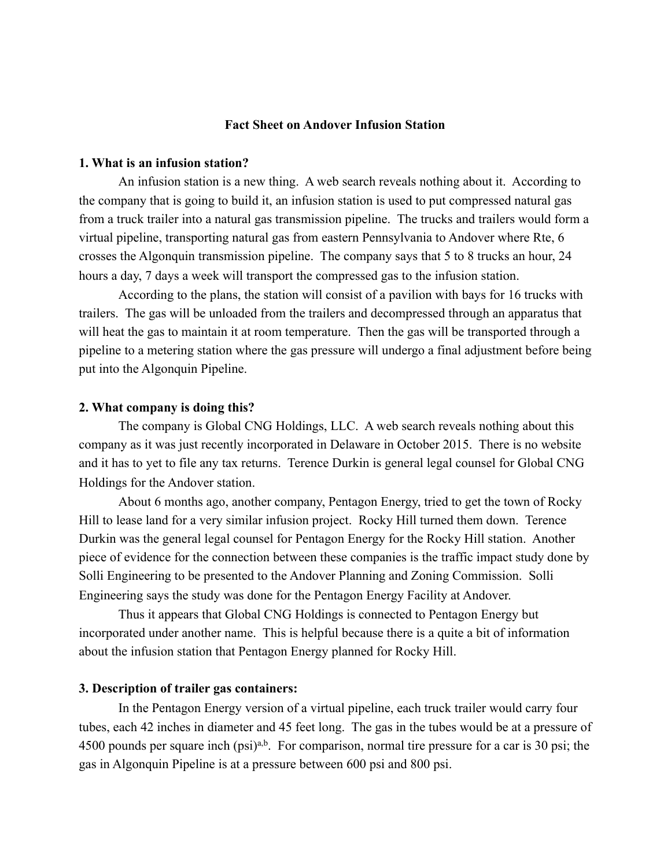### **Fact Sheet on Andover Infusion Station**

# **1. What is an infusion station?**

 An infusion station is a new thing. A web search reveals nothing about it. According to the company that is going to build it, an infusion station is used to put compressed natural gas from a truck trailer into a natural gas transmission pipeline. The trucks and trailers would form a virtual pipeline, transporting natural gas from eastern Pennsylvania to Andover where Rte, 6 crosses the Algonquin transmission pipeline. The company says that 5 to 8 trucks an hour, 24 hours a day, 7 days a week will transport the compressed gas to the infusion station.

 According to the plans, the station will consist of a pavilion with bays for 16 trucks with trailers. The gas will be unloaded from the trailers and decompressed through an apparatus that will heat the gas to maintain it at room temperature. Then the gas will be transported through a pipeline to a metering station where the gas pressure will undergo a final adjustment before being put into the Algonquin Pipeline.

#### **2. What company is doing this?**

 The company is Global CNG Holdings, LLC. A web search reveals nothing about this company as it was just recently incorporated in Delaware in October 2015. There is no website and it has to yet to file any tax returns. Terence Durkin is general legal counsel for Global CNG Holdings for the Andover station.

 About 6 months ago, another company, Pentagon Energy, tried to get the town of Rocky Hill to lease land for a very similar infusion project. Rocky Hill turned them down. Terence Durkin was the general legal counsel for Pentagon Energy for the Rocky Hill station. Another piece of evidence for the connection between these companies is the traffic impact study done by Solli Engineering to be presented to the Andover Planning and Zoning Commission. Solli Engineering says the study was done for the Pentagon Energy Facility at Andover.

 Thus it appears that Global CNG Holdings is connected to Pentagon Energy but incorporated under another name. This is helpful because there is a quite a bit of information about the infusion station that Pentagon Energy planned for Rocky Hill.

# **3. Description of trailer gas containers:**

In the Pentagon Energy version of a virtual pipeline, each truck trailer would carry four tubes, each 42 inches in diameter and 45 feet long. The gas in the tubes would be at a pressure of 4500 pounds per square inch  $(psi)^{a,b}$ . For comparison, normal tire pressure for a car is 30 psi; the gas in Algonquin Pipeline is at a pressure between 600 psi and 800 psi.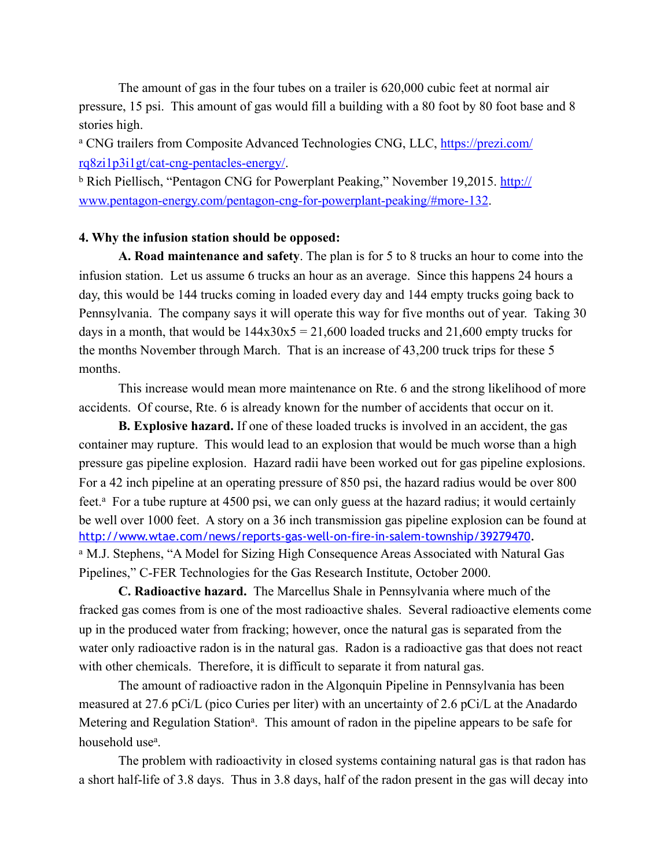The amount of gas in the four tubes on a trailer is 620,000 cubic feet at normal air pressure, 15 psi. This amount of gas would fill a building with a 80 foot by 80 foot base and 8 stories high.

<sup>a</sup> [CNG trailers from Composite Advanced Technologies CNG, LLC, https://prezi.com/](https://prezi.com/rq8zi1p3i1gt/cat-cng-pentacles-energy/) rq8zi1p3i1gt/cat-cng-pentacles-energy/.

[b Rich Piellisch, "Pentagon CNG for Powerplant Peaking," November 19,2015. http://](http://www.pentagon-energy.com/pentagon-cng-for-powerplant-peaking/#more-132) www.pentagon-energy.com/pentagon-cng-for-powerplant-peaking/#more-132.

### **4. Why the infusion station should be opposed:**

**A. Road maintenance and safety**. The plan is for 5 to 8 trucks an hour to come into the infusion station. Let us assume 6 trucks an hour as an average. Since this happens 24 hours a day, this would be 144 trucks coming in loaded every day and 144 empty trucks going back to Pennsylvania. The company says it will operate this way for five months out of year. Taking 30 days in a month, that would be  $144x30x5 = 21,600$  loaded trucks and  $21,600$  empty trucks for the months November through March. That is an increase of 43,200 truck trips for these 5 months.

 This increase would mean more maintenance on Rte. 6 and the strong likelihood of more accidents. Of course, Rte. 6 is already known for the number of accidents that occur on it.

**B. Explosive hazard.** If one of these loaded trucks is involved in an accident, the gas container may rupture. This would lead to an explosion that would be much worse than a high pressure gas pipeline explosion. Hazard radii have been worked out for gas pipeline explosions. For a 42 inch pipeline at an operating pressure of 850 psi, the hazard radius would be over 800 feet.<sup>a</sup> For a tube rupture at 4500 psi, we can only guess at the hazard radius; it would certainly be well over 1000 feet. A story on a 36 inch transmission gas pipeline explosion can be found at <http://www.wtae.com/news/reports-gas-well-on-fire-in-salem-township/39279470>. <sup>a</sup> M.J. Stephens, "A Model for Sizing High Consequence Areas Associated with Natural Gas Pipelines," C-FER Technologies for the Gas Research Institute, October 2000.

**C. Radioactive hazard.** The Marcellus Shale in Pennsylvania where much of the fracked gas comes from is one of the most radioactive shales. Several radioactive elements come up in the produced water from fracking; however, once the natural gas is separated from the water only radioactive radon is in the natural gas. Radon is a radioactive gas that does not react with other chemicals. Therefore, it is difficult to separate it from natural gas.

 The amount of radioactive radon in the Algonquin Pipeline in Pennsylvania has been measured at 27.6 pCi/L (pico Curies per liter) with an uncertainty of 2.6 pCi/L at the Anadardo Metering and Regulation Station<sup>a</sup>. This amount of radon in the pipeline appears to be safe for household use<sup>a</sup>.

 The problem with radioactivity in closed systems containing natural gas is that radon has a short half-life of 3.8 days. Thus in 3.8 days, half of the radon present in the gas will decay into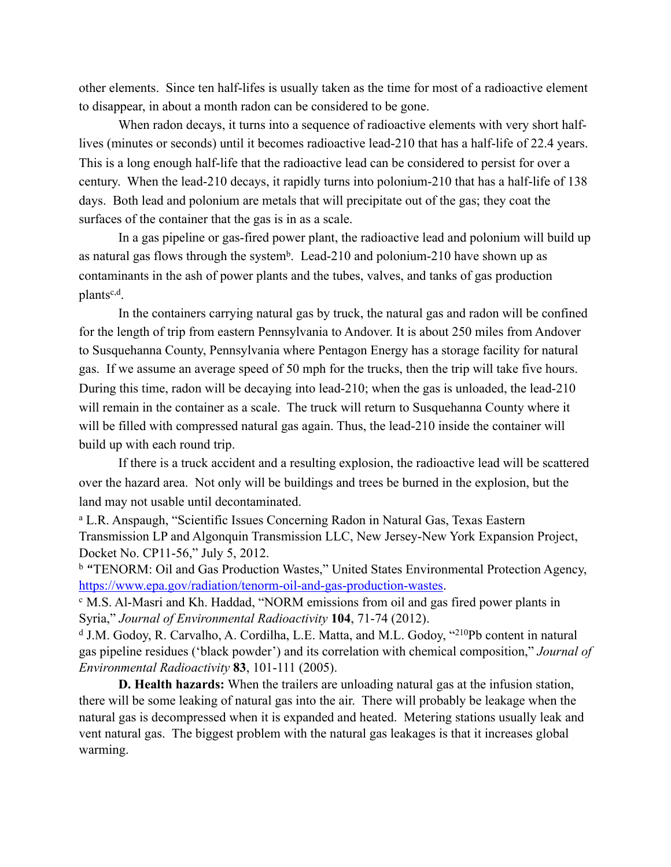other elements. Since ten half-lifes is usually taken as the time for most of a radioactive element to disappear, in about a month radon can be considered to be gone.

 When radon decays, it turns into a sequence of radioactive elements with very short halflives (minutes or seconds) until it becomes radioactive lead-210 that has a half-life of 22.4 years. This is a long enough half-life that the radioactive lead can be considered to persist for over a century. When the lead-210 decays, it rapidly turns into polonium-210 that has a half-life of 138 days. Both lead and polonium are metals that will precipitate out of the gas; they coat the surfaces of the container that the gas is in as a scale.

 In a gas pipeline or gas-fired power plant, the radioactive lead and polonium will build up as natural gas flows through the system<sup>b</sup>. Lead-210 and polonium-210 have shown up as contaminants in the ash of power plants and the tubes, valves, and tanks of gas production plants<sup>c,d</sup>.

 In the containers carrying natural gas by truck, the natural gas and radon will be confined for the length of trip from eastern Pennsylvania to Andover. It is about 250 miles from Andover to Susquehanna County, Pennsylvania where Pentagon Energy has a storage facility for natural gas. If we assume an average speed of 50 mph for the trucks, then the trip will take five hours. During this time, radon will be decaying into lead-210; when the gas is unloaded, the lead-210 will remain in the container as a scale. The truck will return to Susquehanna County where it will be filled with compressed natural gas again. Thus, the lead-210 inside the container will build up with each round trip.

 If there is a truck accident and a resulting explosion, the radioactive lead will be scattered over the hazard area. Not only will be buildings and trees be burned in the explosion, but the land may not usable until decontaminated.

a L.R. Anspaugh, "Scientific Issues Concerning Radon in Natural Gas, Texas Eastern Transmission LP and Algonquin Transmission LLC, New Jersey-New York Expansion Project, Docket No. CP11-56," July 5, 2012.

b "TENORM: Oil and Gas Production Wastes," United States Environmental Protection Agency, <https://www.epa.gov/radiation/tenorm-oil-and-gas-production-wastes>.<br><sup>c</sup> M.S. Al-Masri and Kh. Haddad, "NORM emissions from oil and gas fired power plants in

Syria," *Journal of Environmental Radioactivity* **104**, 71-74 (2012).

d J.M. Godoy, R. Carvalho, A. Cordilha, L.E. Matta, and M.L. Godoy, "210Pb content in natural gas pipeline residues ('black powder') and its correlation with chemical composition," *Journal of Environmental Radioactivity* **83**, 101-111 (2005).

 **D. Health hazards:** When the trailers are unloading natural gas at the infusion station, there will be some leaking of natural gas into the air. There will probably be leakage when the natural gas is decompressed when it is expanded and heated. Metering stations usually leak and vent natural gas. The biggest problem with the natural gas leakages is that it increases global warming.